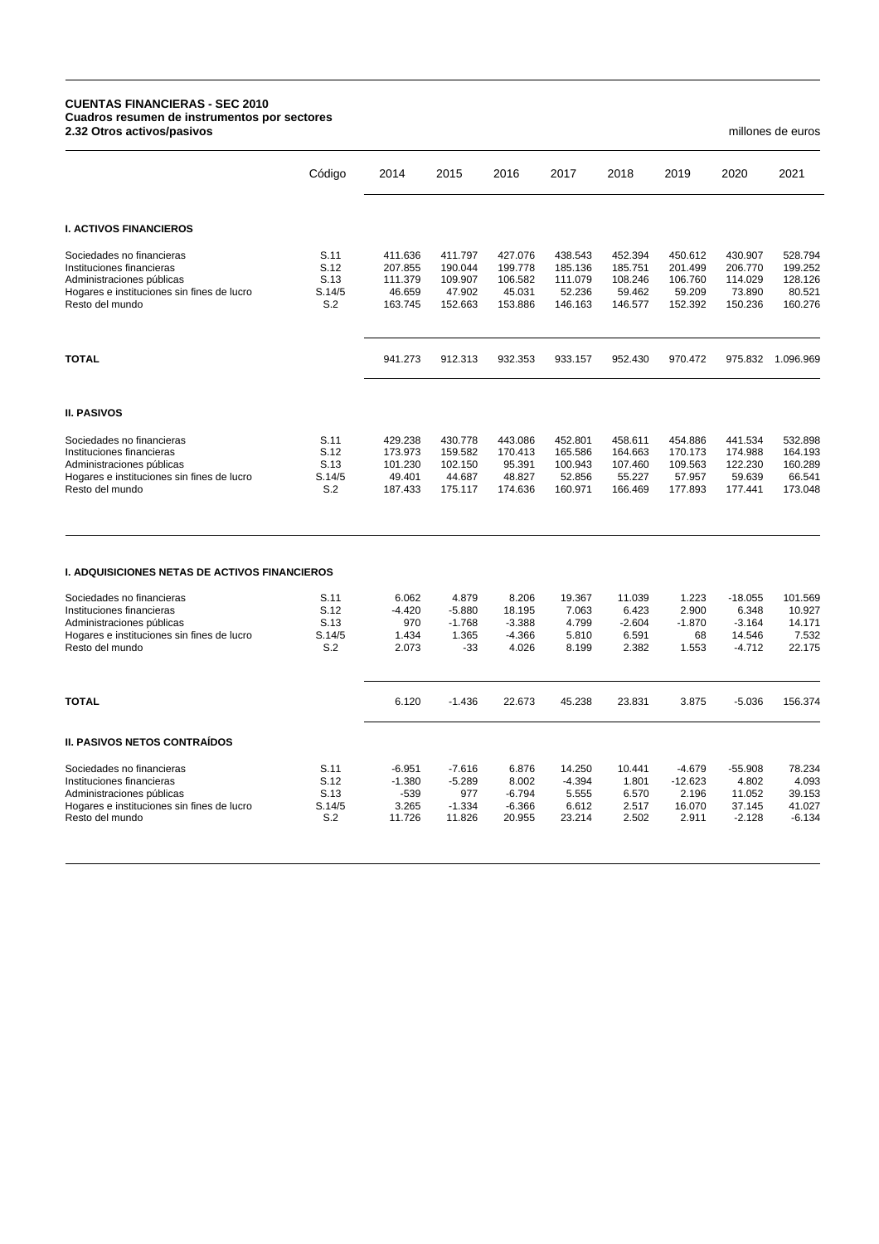## **CUENTAS FINANCIERAS - SEC 2010 Cuadros resumen de instrumentos por sectores 2.32 Otros activos/pasivos** millones de euros

|                                                                                                                                                      | Código                                | 2014                                               | 2015                                               | 2016                                               | 2017                                               | 2018                                               | 2019                                               | 2020                                                 | 2021                                               |
|------------------------------------------------------------------------------------------------------------------------------------------------------|---------------------------------------|----------------------------------------------------|----------------------------------------------------|----------------------------------------------------|----------------------------------------------------|----------------------------------------------------|----------------------------------------------------|------------------------------------------------------|----------------------------------------------------|
| <b>I. ACTIVOS FINANCIEROS</b>                                                                                                                        |                                       |                                                    |                                                    |                                                    |                                                    |                                                    |                                                    |                                                      |                                                    |
| Sociedades no financieras<br>Instituciones financieras<br>Administraciones públicas<br>Hogares e instituciones sin fines de lucro<br>Resto del mundo | S.11<br>S.12<br>S.13<br>S.14/5<br>S.2 | 411.636<br>207.855<br>111.379<br>46.659<br>163.745 | 411.797<br>190.044<br>109.907<br>47.902<br>152.663 | 427.076<br>199.778<br>106.582<br>45.031<br>153.886 | 438.543<br>185.136<br>111.079<br>52.236<br>146.163 | 452.394<br>185.751<br>108.246<br>59.462<br>146.577 | 450.612<br>201.499<br>106.760<br>59.209<br>152.392 | 430.907<br>206.770<br>114.029<br>73.890<br>150.236   | 528.794<br>199.252<br>128.126<br>80.521<br>160.276 |
| <b>TOTAL</b>                                                                                                                                         |                                       | 941.273                                            | 912.313                                            | 932.353                                            | 933.157                                            | 952.430                                            | 970.472                                            | 975.832                                              | 1.096.969                                          |
| <b>II. PASIVOS</b>                                                                                                                                   |                                       |                                                    |                                                    |                                                    |                                                    |                                                    |                                                    |                                                      |                                                    |
| Sociedades no financieras<br>Instituciones financieras<br>Administraciones públicas<br>Hogares e instituciones sin fines de lucro<br>Resto del mundo | S.11<br>S.12<br>S.13<br>S.14/5<br>S.2 | 429.238<br>173.973<br>101.230<br>49.401<br>187.433 | 430.778<br>159.582<br>102.150<br>44.687<br>175.117 | 443.086<br>170.413<br>95.391<br>48.827<br>174.636  | 452.801<br>165.586<br>100.943<br>52.856<br>160.971 | 458.611<br>164.663<br>107.460<br>55.227<br>166.469 | 454.886<br>170.173<br>109.563<br>57.957<br>177.893 | 441.534<br>174.988<br>122.230<br>59.639<br>177.441   | 532.898<br>164.193<br>160.289<br>66.541<br>173.048 |
| <b>I. ADQUISICIONES NETAS DE ACTIVOS FINANCIEROS</b>                                                                                                 |                                       |                                                    |                                                    |                                                    |                                                    |                                                    |                                                    |                                                      |                                                    |
| Sociedades no financieras<br>Instituciones financieras<br>Administraciones públicas<br>Hogares e instituciones sin fines de lucro<br>Resto del mundo | S.11<br>S.12<br>S.13<br>S.14/5<br>S.2 | 6.062<br>$-4.420$<br>970<br>1.434<br>2.073         | 4.879<br>$-5.880$<br>$-1.768$<br>1.365<br>$-33$    | 8.206<br>18.195<br>$-3.388$<br>$-4.366$<br>4.026   | 19.367<br>7.063<br>4.799<br>5.810<br>8.199         | 11.039<br>6.423<br>$-2.604$<br>6.591<br>2.382      | 1.223<br>2.900<br>$-1.870$<br>68<br>1.553          | $-18.055$<br>6.348<br>$-3.164$<br>14.546<br>$-4.712$ | 101.569<br>10.927<br>14.171<br>7.532<br>22.175     |
| <b>TOTAL</b>                                                                                                                                         |                                       | 6.120                                              | $-1.436$                                           | 22.673                                             | 45.238                                             | 23.831                                             | 3.875                                              | $-5.036$                                             | 156.374                                            |
| <b>II. PASIVOS NETOS CONTRAÍDOS</b>                                                                                                                  |                                       |                                                    |                                                    |                                                    |                                                    |                                                    |                                                    |                                                      |                                                    |
| Sociedades no financieras<br>Instituciones financieras<br>Administraciones públicas<br>Hogares e instituciones sin fines de lucro<br>Resto del mundo | S.11<br>S.12<br>S.13<br>S.14/5<br>S.2 | $-6.951$<br>$-1.380$<br>-539<br>3.265<br>11.726    | $-7.616$<br>$-5.289$<br>977<br>$-1.334$<br>11.826  | 6.876<br>8.002<br>$-6.794$<br>$-6.366$<br>20.955   | 14.250<br>$-4.394$<br>5.555<br>6.612<br>23.214     | 10.441<br>1.801<br>6.570<br>2.517<br>2.502         | $-4.679$<br>$-12.623$<br>2.196<br>16.070<br>2.911  | $-55.908$<br>4.802<br>11.052<br>37.145<br>$-2.128$   | 78.234<br>4.093<br>39.153<br>41.027<br>$-6.134$    |